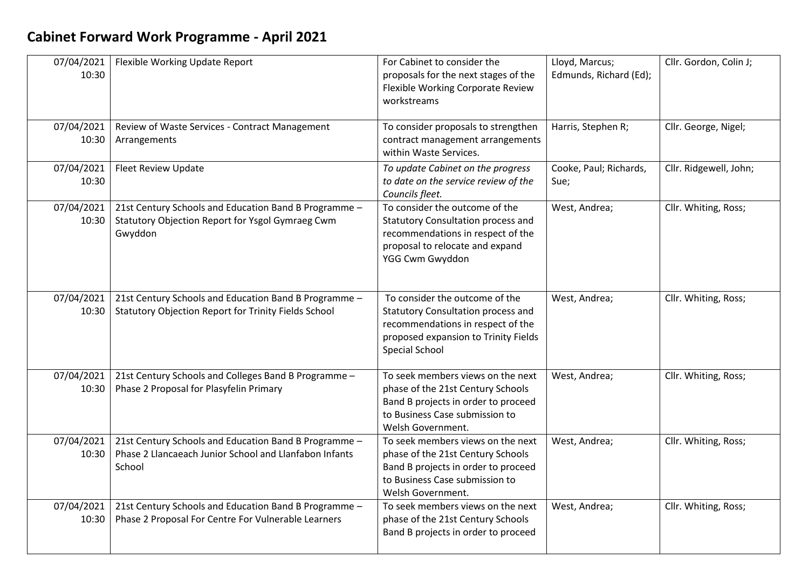## **Cabinet Forward Work Programme - April 2021**

| 07/04/2021<br>10:30 | Flexible Working Update Report                                                                                            | For Cabinet to consider the<br>proposals for the next stages of the<br>Flexible Working Corporate Review<br>workstreams                                                    | Lloyd, Marcus;<br>Edmunds, Richard (Ed); | Cllr. Gordon, Colin J; |
|---------------------|---------------------------------------------------------------------------------------------------------------------------|----------------------------------------------------------------------------------------------------------------------------------------------------------------------------|------------------------------------------|------------------------|
| 07/04/2021<br>10:30 | Review of Waste Services - Contract Management<br>Arrangements                                                            | To consider proposals to strengthen<br>contract management arrangements<br>within Waste Services.                                                                          | Harris, Stephen R;                       | Cllr. George, Nigel;   |
| 07/04/2021<br>10:30 | Fleet Review Update                                                                                                       | To update Cabinet on the progress<br>to date on the service review of the<br>Councils fleet.                                                                               | Cooke, Paul; Richards,<br>Sue;           | Cllr. Ridgewell, John; |
| 07/04/2021<br>10:30 | 21st Century Schools and Education Band B Programme -<br>Statutory Objection Report for Ysgol Gymraeg Cwm<br>Gwyddon      | To consider the outcome of the<br><b>Statutory Consultation process and</b><br>recommendations in respect of the<br>proposal to relocate and expand<br>YGG Cwm Gwyddon     | West, Andrea;                            | Cllr. Whiting, Ross;   |
| 07/04/2021<br>10:30 | 21st Century Schools and Education Band B Programme -<br>Statutory Objection Report for Trinity Fields School             | To consider the outcome of the<br>Statutory Consultation process and<br>recommendations in respect of the<br>proposed expansion to Trinity Fields<br><b>Special School</b> | West, Andrea;                            | Cllr. Whiting, Ross;   |
| 07/04/2021<br>10:30 | 21st Century Schools and Colleges Band B Programme -<br>Phase 2 Proposal for Plasyfelin Primary                           | To seek members views on the next<br>phase of the 21st Century Schools<br>Band B projects in order to proceed<br>to Business Case submission to<br>Welsh Government.       | West, Andrea;                            | Cllr. Whiting, Ross;   |
| 07/04/2021<br>10:30 | 21st Century Schools and Education Band B Programme -<br>Phase 2 Llancaeach Junior School and Llanfabon Infants<br>School | To seek members views on the next<br>phase of the 21st Century Schools<br>Band B projects in order to proceed<br>to Business Case submission to<br>Welsh Government.       | West, Andrea;                            | Cllr. Whiting, Ross;   |
| 07/04/2021<br>10:30 | 21st Century Schools and Education Band B Programme -<br>Phase 2 Proposal For Centre For Vulnerable Learners              | To seek members views on the next<br>phase of the 21st Century Schools<br>Band B projects in order to proceed                                                              | West, Andrea;                            | Cllr. Whiting, Ross;   |